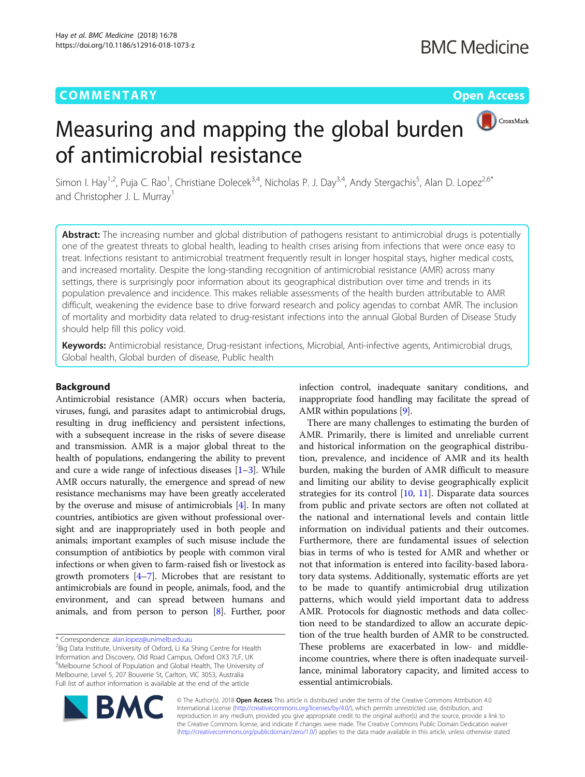## **COMMENTARY COMMENTARY COMMENTARY**



# Measuring and mapping the global burden of antimicrobial resistance

Simon I. Hay<sup>1,2</sup>, Puja C. Rao<sup>1</sup>, Christiane Dolecek<sup>3,4</sup>, Nicholas P. J. Day<sup>3,4</sup>, Andy Stergachis<sup>5</sup>, Alan D. Lopez<sup>2,6\*</sup> and Christopher J. L. Murray<sup>1</sup>

Abstract: The increasing number and global distribution of pathogens resistant to antimicrobial drugs is potentially one of the greatest threats to global health, leading to health crises arising from infections that were once easy to treat. Infections resistant to antimicrobial treatment frequently result in longer hospital stays, higher medical costs, and increased mortality. Despite the long-standing recognition of antimicrobial resistance (AMR) across many settings, there is surprisingly poor information about its geographical distribution over time and trends in its population prevalence and incidence. This makes reliable assessments of the health burden attributable to AMR difficult, weakening the evidence base to drive forward research and policy agendas to combat AMR. The inclusion of mortality and morbidity data related to drug-resistant infections into the annual Global Burden of Disease Study should help fill this policy void.

Keywords: Antimicrobial resistance, Drug-resistant infections, Microbial, Anti-infective agents, Antimicrobial drugs, Global health, Global burden of disease, Public health

### Background

Antimicrobial resistance (AMR) occurs when bacteria, viruses, fungi, and parasites adapt to antimicrobial drugs, resulting in drug inefficiency and persistent infections, with a subsequent increase in the risks of severe disease and transmission. AMR is a major global threat to the health of populations, endangering the ability to prevent and cure a wide range of infectious diseases [\[1](#page-2-0)–[3\]](#page-2-0). While AMR occurs naturally, the emergence and spread of new resistance mechanisms may have been greatly accelerated by the overuse and misuse of antimicrobials [\[4\]](#page-2-0). In many countries, antibiotics are given without professional oversight and are inappropriately used in both people and animals; important examples of such misuse include the consumption of antibiotics by people with common viral infections or when given to farm-raised fish or livestock as growth promoters  $[4-7]$  $[4-7]$  $[4-7]$ . Microbes that are resistant to antimicrobials are found in people, animals, food, and the environment, and can spread between humans and animals, and from person to person [\[8\]](#page-2-0). Further, poor

\* Correspondence: [alan.lopez@unimelb.edu.au](mailto:alan.lopez@unimelb.edu.au) <sup>2</sup>

<sup>2</sup>Big Data Institute, University of Oxford, Li Ka Shing Centre for Health Information and Discovery, Old Road Campus, Oxford OX3 7LF, UK <sup>6</sup>Melbourne School of Population and Global Health, The University of Melbourne, Level 5, 207 Bouverie St, Carlton, VIC 3053, Australia Full list of author information is available at the end of the article

infection control, inadequate sanitary conditions, and inappropriate food handling may facilitate the spread of AMR within populations [\[9\]](#page-2-0).

There are many challenges to estimating the burden of AMR. Primarily, there is limited and unreliable current and historical information on the geographical distribution, prevalence, and incidence of AMR and its health burden, making the burden of AMR difficult to measure and limiting our ability to devise geographically explicit strategies for its control [[10,](#page-2-0) [11](#page-2-0)]. Disparate data sources from public and private sectors are often not collated at the national and international levels and contain little information on individual patients and their outcomes. Furthermore, there are fundamental issues of selection bias in terms of who is tested for AMR and whether or not that information is entered into facility-based laboratory data systems. Additionally, systematic efforts are yet to be made to quantify antimicrobial drug utilization patterns, which would yield important data to address AMR. Protocols for diagnostic methods and data collection need to be standardized to allow an accurate depiction of the true health burden of AMR to be constructed. These problems are exacerbated in low- and middleincome countries, where there is often inadequate surveillance, minimal laboratory capacity, and limited access to essential antimicrobials.



© The Author(s). 2018 Open Access This article is distributed under the terms of the Creative Commons Attribution 4.0 International License [\(http://creativecommons.org/licenses/by/4.0/](http://creativecommons.org/licenses/by/4.0/)), which permits unrestricted use, distribution, and reproduction in any medium, provided you give appropriate credit to the original author(s) and the source, provide a link to the Creative Commons license, and indicate if changes were made. The Creative Commons Public Domain Dedication waiver [\(http://creativecommons.org/publicdomain/zero/1.0/](http://creativecommons.org/publicdomain/zero/1.0/)) applies to the data made available in this article, unless otherwise stated.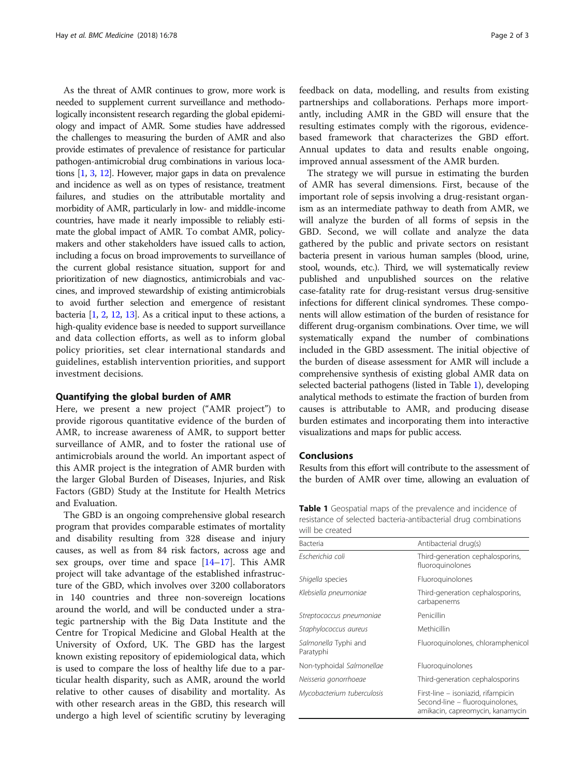<span id="page-1-0"></span>As the threat of AMR continues to grow, more work is needed to supplement current surveillance and methodologically inconsistent research regarding the global epidemiology and impact of AMR. Some studies have addressed the challenges to measuring the burden of AMR and also provide estimates of prevalence of resistance for particular pathogen-antimicrobial drug combinations in various locations [\[1,](#page-2-0) [3](#page-2-0), [12\]](#page-2-0). However, major gaps in data on prevalence and incidence as well as on types of resistance, treatment failures, and studies on the attributable mortality and morbidity of AMR, particularly in low- and middle-income countries, have made it nearly impossible to reliably estimate the global impact of AMR. To combat AMR, policymakers and other stakeholders have issued calls to action, including a focus on broad improvements to surveillance of the current global resistance situation, support for and prioritization of new diagnostics, antimicrobials and vaccines, and improved stewardship of existing antimicrobials to avoid further selection and emergence of resistant bacteria [\[1](#page-2-0), [2,](#page-2-0) [12](#page-2-0), [13\]](#page-2-0). As a critical input to these actions, a high-quality evidence base is needed to support surveillance and data collection efforts, as well as to inform global policy priorities, set clear international standards and guidelines, establish intervention priorities, and support investment decisions.

#### Quantifying the global burden of AMR

Here, we present a new project ("AMR project") to provide rigorous quantitative evidence of the burden of AMR, to increase awareness of AMR, to support better surveillance of AMR, and to foster the rational use of antimicrobials around the world. An important aspect of this AMR project is the integration of AMR burden with the larger Global Burden of Diseases, Injuries, and Risk Factors (GBD) Study at the Institute for Health Metrics and Evaluation.

The GBD is an ongoing comprehensive global research program that provides comparable estimates of mortality and disability resulting from 328 disease and injury causes, as well as from 84 risk factors, across age and sex groups, over time and space [[14](#page-2-0)–[17](#page-2-0)]. This AMR project will take advantage of the established infrastructure of the GBD, which involves over 3200 collaborators in 140 countries and three non-sovereign locations around the world, and will be conducted under a strategic partnership with the Big Data Institute and the Centre for Tropical Medicine and Global Health at the University of Oxford, UK. The GBD has the largest known existing repository of epidemiological data, which is used to compare the loss of healthy life due to a particular health disparity, such as AMR, around the world relative to other causes of disability and mortality. As with other research areas in the GBD, this research will undergo a high level of scientific scrutiny by leveraging feedback on data, modelling, and results from existing partnerships and collaborations. Perhaps more importantly, including AMR in the GBD will ensure that the resulting estimates comply with the rigorous, evidencebased framework that characterizes the GBD effort. Annual updates to data and results enable ongoing, improved annual assessment of the AMR burden.

The strategy we will pursue in estimating the burden of AMR has several dimensions. First, because of the important role of sepsis involving a drug-resistant organism as an intermediate pathway to death from AMR, we will analyze the burden of all forms of sepsis in the GBD. Second, we will collate and analyze the data gathered by the public and private sectors on resistant bacteria present in various human samples (blood, urine, stool, wounds, etc.). Third, we will systematically review published and unpublished sources on the relative case-fatality rate for drug-resistant versus drug-sensitive infections for different clinical syndromes. These components will allow estimation of the burden of resistance for different drug-organism combinations. Over time, we will systematically expand the number of combinations included in the GBD assessment. The initial objective of the burden of disease assessment for AMR will include a comprehensive synthesis of existing global AMR data on selected bacterial pathogens (listed in Table 1), developing analytical methods to estimate the fraction of burden from causes is attributable to AMR, and producing disease burden estimates and incorporating them into interactive visualizations and maps for public access.

#### Conclusions

Results from this effort will contribute to the assessment of the burden of AMR over time, allowing an evaluation of

Table 1 Geospatial maps of the prevalence and incidence of resistance of selected bacteria-antibacterial drug combinations will be created

| <b>Bacteria</b>                   | Antibacterial drug(s)                                                                                     |
|-----------------------------------|-----------------------------------------------------------------------------------------------------------|
| Escherichia coli                  | Third-generation cephalosporins,<br>fluoroquinolones                                                      |
| Shigella species                  | Fluoroquinolones                                                                                          |
| Klebsiella pneumoniae             | Third-generation cephalosporins,<br>carbapenems                                                           |
| Streptococcus pneumoniae          | Penicillin                                                                                                |
| Staphylococcus aureus             | Methicillin                                                                                               |
| Salmonella Typhi and<br>Paratyphi | Fluoroquinolones, chloramphenicol                                                                         |
| Non-typhoidal Salmonellae         | Fluoroquinolones                                                                                          |
| Neisseria gonorrhoeae             | Third-generation cephalosporins                                                                           |
| Mycobacterium tuberculosis        | First-line – isoniazid, rifampicin<br>Second-line - fluoroquinolones,<br>amikacin, capreomycin, kanamycin |